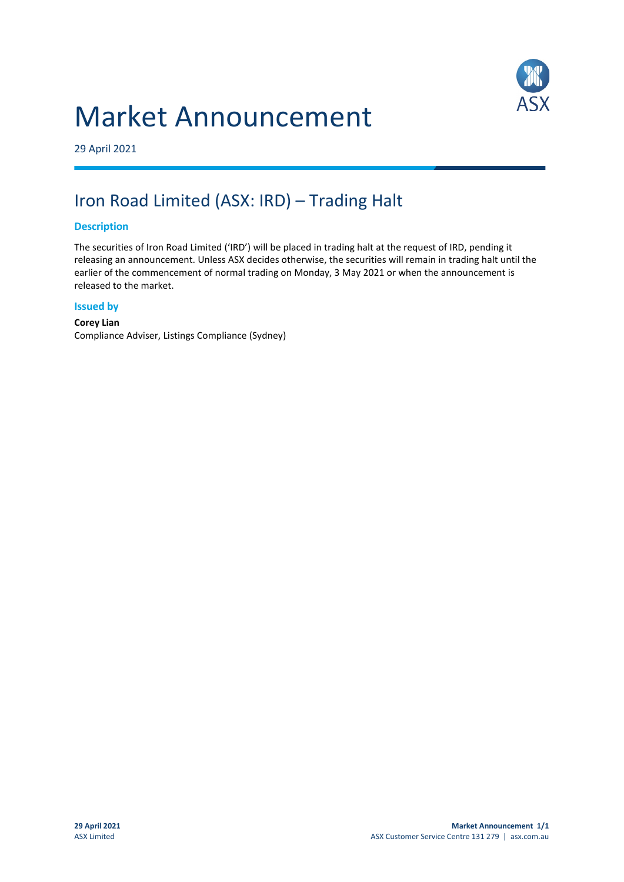## Market Announcement



29 April 2021

### Iron Road Limited (ASX: IRD) – Trading Halt

#### **Description**

The securities of Iron Road Limited ('IRD') will be placed in trading halt at the request of IRD, pending it releasing an announcement. Unless ASX decides otherwise, the securities will remain in trading halt until the earlier of the commencement of normal trading on Monday, 3 May 2021 or when the announcement is released to the market.

#### **Issued by**

**Corey Lian** Compliance Adviser, Listings Compliance (Sydney)